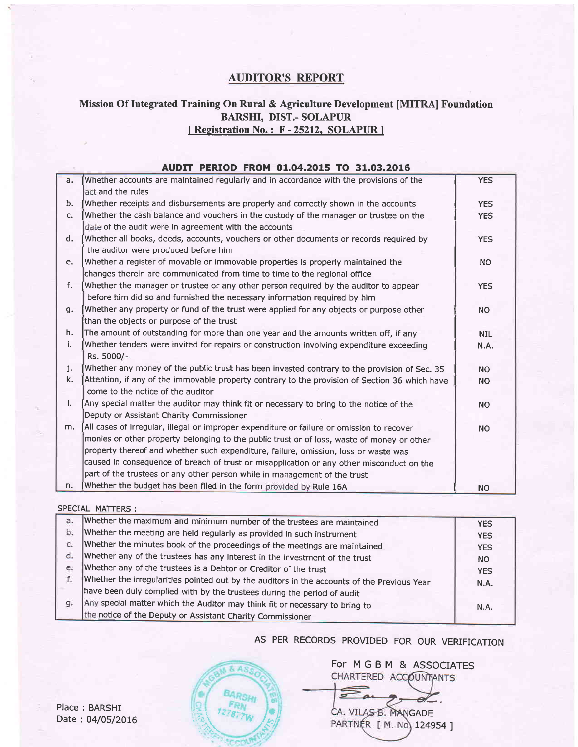# AUDITOR'S REPORT

#### Mission Of Integrated Training On Rural & Agriculture Development [MITRA] Foundation BARSHI, DIST.- SOLAPUR [ Registration No. : F - 25212, SOLAPUR ]

#### AUDIT PERIOD FROM 01.04.2015 TO 31.03.2016 a. Whether accounts are maintained regularly and in accordance with the provisions of the I YES act and the rules b. Whether receipts and disbursements are properly and correctly shown in the accounts THES<br>
I YES C. Whether the cash balance and vouchers in the custody of the manager or trustee on the Whether the cash balance and vouchers in the custody of the manager or trustee on the date of the audit were in agreement with the accounts d. [Whether all books, deeds, accounts, vouchers or other documents or records required by YES the auditor were produced before him e. Whether a register of movable or immovable properties is properly maintained the  $\vert$  NO changes therein are communicated from time to time to the regional office f. Whether the manager or trustee or any other person required by the auditor to appear YES before him did so and furnished the necessary information required by him g. Whether any property or fund of the trust were applied for any objects or purpose other I NO than the objects or purpose of the trust h. The amount of outstanding for more than one year and the amounts written off, if any **I The Standard Water** i. NIL time is a sympartic involving expenditure exceeding Whether tenders were invited for repairs or construction involving expenditure exceeding  $\mathbb{N}$ .A. Rs. 5000/ j. Whether any money of the public trust has been invested contrary to the provision of Sec. 35 | RIC NO<br>R. Attention, if any of the immovable property contrary to the provision of Section 36 which have Attention, if any of the immovable property contrary to the provision of Section 36 which have  $\vert$  NO come to the notice of the auditor I.  $\int$  Any special matter the auditor may think fit or necessary to bring to the notice of the  $\vert$  NO Deputy or Assistant Charity Commissioner m.  $\vert$  All cases of irregular, illegal or improper expenditure or failure or omission to recover  $\vert$  NO monies or other propefty belonging to the public trust or of loss, waste of money or other propety thereof and whether such expenditure, failure, omission, loss or waste was caused in consequence of breach of trust or misapplication or any other misconduct on the part of the trustees or any other person while in management of the trust n. Whether the budget has been filed in the form provided by Rule 16A | Rule 16A

#### SPECIAL MATTERS: whether the maximum and minimum number of the trustees are maintained a. **YES** b. Whether the meeting are held regularly as provided in such instrument YES whether the minutes book of the proceedings of the meetings are maintained  $\mathbb{C}$ . **YES** whether any of the trustees has any interest in the investment of the trust  $d.$ NO Whether any of the trustees is a Debtor or Creditor of the trust e. YES f. Whether the irregularities pointed out by the auditors in the accounts of the previous year N.A. have been duly complied with by the trustees during the period of audit Any special matter which the Auditor may think fit or necessary to bring to q. N.A. the notice of the Deputy or Assistant Charity Commissioner

## AS PER RECORDS PROVIDED FOR OUR VERIFICATION

& ASS  $\frac{1}{27877W}\int_{E/H}$ 

For MGBM & ASSOCIATES CHARTERED ACCOUNTANTS

CA. VILAS B. MANGADE PARTNÉR [ M. No) 124954 ]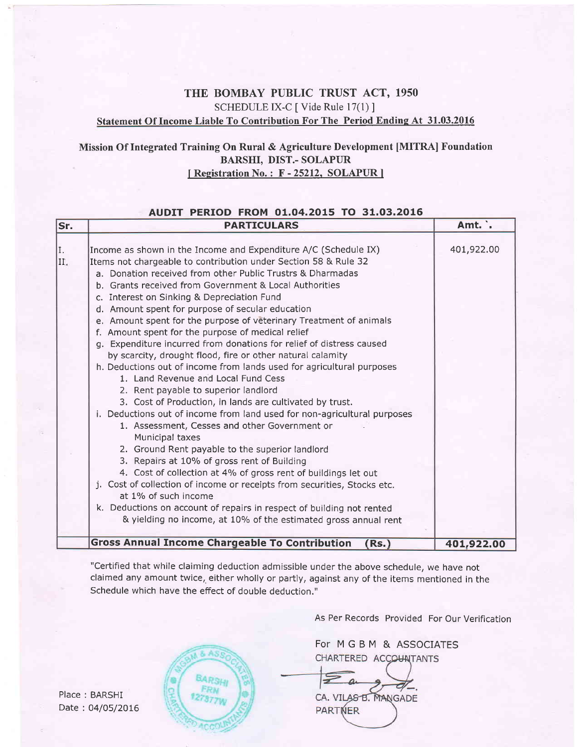## THE BOMBAY PUBLIC TRUST ACT, 1950 SCHEDULE IX-C [ Vide Rule 17(1) ] Statement Of Income Liable To Contribution For The Period Endine At 31.03.2016

## Mission Of Integrated Training On Rural & Agriculture Development [MITRA] Foundation BARSHI, DIST.- SOLAPIIR I Registration No.: F - 25212, SOLAPUR 1

#### AUDIT PERTOD FROM 01.04.2015 TO 31.03.2016

| lSr.      | <b>PARTICULARS</b>                                                                                                                                                                                                                                                                                                                                                                                                                                                                                                                                                                                                                                                                                                                                                                                                                                                                                                                                                                                                                                                                                                                                                                                                                                                                                                                                                                                                    | Amt. .     |
|-----------|-----------------------------------------------------------------------------------------------------------------------------------------------------------------------------------------------------------------------------------------------------------------------------------------------------------------------------------------------------------------------------------------------------------------------------------------------------------------------------------------------------------------------------------------------------------------------------------------------------------------------------------------------------------------------------------------------------------------------------------------------------------------------------------------------------------------------------------------------------------------------------------------------------------------------------------------------------------------------------------------------------------------------------------------------------------------------------------------------------------------------------------------------------------------------------------------------------------------------------------------------------------------------------------------------------------------------------------------------------------------------------------------------------------------------|------------|
| I.<br>II. | Income as shown in the Income and Expenditure A/C (Schedule IX)<br>Items not chargeable to contribution under Section 58 & Rule 32<br>a. Donation received from other Public Trustrs & Dharmadas<br>b. Grants received from Government & Local Authorities<br>c. Interest on Sinking & Depreciation Fund<br>d. Amount spent for purpose of secular education<br>e. Amount spent for the purpose of veterinary Treatment of animals<br>f. Amount spent for the purpose of medical relief<br>g. Expenditure incurred from donations for relief of distress caused<br>by scarcity, drought flood, fire or other natural calamity<br>h. Deductions out of income from lands used for agricultural purposes<br>1. Land Revenue and Local Fund Cess<br>2. Rent payable to superior landlord<br>3. Cost of Production, in lands are cultivated by trust.<br>i. Deductions out of income from land used for non-agricultural purposes<br>1. Assessment, Cesses and other Government or<br>Municipal taxes<br>2. Ground Rent payable to the superior landlord<br>3. Repairs at 10% of gross rent of Building<br>4. Cost of collection at 4% of gross rent of buildings let out<br>j. Cost of collection of income or receipts from securities, Stocks etc.<br>at 1% of such income<br>k. Deductions on account of repairs in respect of building not rented<br>& yielding no income, at 10% of the estimated gross annual rent | 401,922.00 |
|           | <b>Gross Annual Income Chargeable To Contribution</b><br>(Rs.)                                                                                                                                                                                                                                                                                                                                                                                                                                                                                                                                                                                                                                                                                                                                                                                                                                                                                                                                                                                                                                                                                                                                                                                                                                                                                                                                                        | 401,922.00 |

"Certified that while claiming deduction admissible under the above schedule, we have not claimed any amount twice, either wholly or partly, against any of the items mentioned in the Schedule which have the effect of double deduction."

**8 AS** 

**BARSH** 

As Per Records Provided For Our Verification

For MGBM & ASSOCIATESCHARTERED ACCOUNTANTS

 $\mathscr{A}_{-}$ CA. VILAS B. MANGADE PARTNER

Place : BARSHI Date : 04/05/2016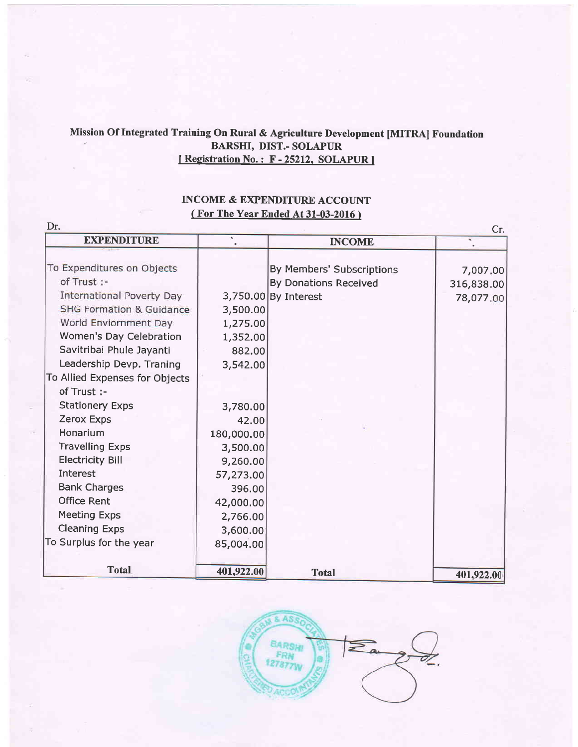# Mission Of Integrated Training On Rural & Agriculture Development [MITRA] Foundation BARSHI, DIST.- SOLAPUR I Registration No.: F-25212, SOLAPUR ]

# INCOME & EXPENDITURE ACCOUNT ( For The Year Ended At 31-03-2016 )

|                                     | Dr.<br>Cr.<br>$\bullet$ |                              |            |  |  |
|-------------------------------------|-------------------------|------------------------------|------------|--|--|
| <b>EXPENDITURE</b>                  |                         | <b>INCOME</b>                |            |  |  |
| To Expenditures on Objects          |                         | By Members' Subscriptions    |            |  |  |
| of Trust :-                         |                         |                              | 7,007.00   |  |  |
| <b>International Poverty Day</b>    |                         | <b>By Donations Received</b> | 316,838.00 |  |  |
| <b>SHG Formation &amp; Guidance</b> |                         | 3,750.00 By Interest         | 78,077.00  |  |  |
|                                     | 3,500.00                |                              |            |  |  |
| World Enviornment Day               | 1,275.00                |                              |            |  |  |
| Women's Day Celebration             | 1,352.00                |                              |            |  |  |
| Savitribai Phule Jayanti            | 882,00                  |                              |            |  |  |
| Leadership Devp. Traning            | 3,542.00                |                              |            |  |  |
| To Allied Expenses for Objects      |                         |                              |            |  |  |
| of Trust :-                         |                         |                              |            |  |  |
| <b>Stationery Exps</b>              | 3,780.00                |                              |            |  |  |
| Zerox Exps                          | 42.00                   |                              |            |  |  |
| Honarium                            | 180,000.00              |                              |            |  |  |
| <b>Travelling Exps</b>              | 3,500.00                |                              |            |  |  |
| <b>Electricity Bill</b>             | 9,260.00                |                              |            |  |  |
| <b>Interest</b>                     | 57,273.00               |                              |            |  |  |
| <b>Bank Charges</b>                 | 396.00                  |                              |            |  |  |
| <b>Office Rent</b>                  | 42,000.00               |                              |            |  |  |
| <b>Meeting Exps</b>                 | 2,766.00                |                              |            |  |  |
| <b>Cleaning Exps</b>                | 3,600.00                |                              |            |  |  |
| To Surplus for the year             | 85,004.00               |                              |            |  |  |
|                                     |                         |                              |            |  |  |
| <b>Total</b>                        | 401,922.00              | <b>Total</b>                 | 401,922.00 |  |  |